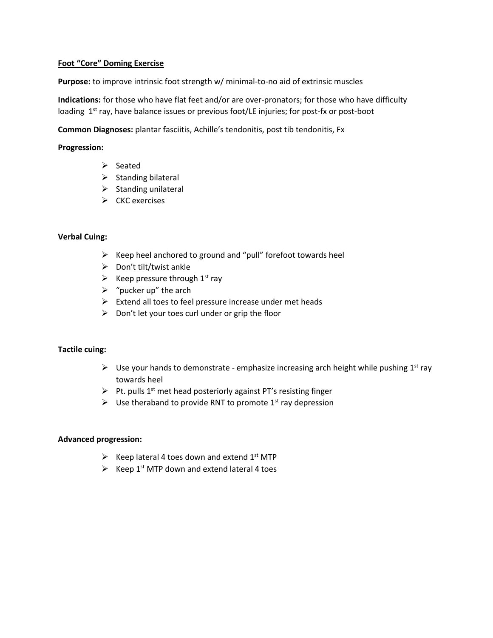## **Foot "Core" Doming Exercise**

**Purpose:** to improve intrinsic foot strength w/ minimal-to-no aid of extrinsic muscles

**Indications:** for those who have flat feet and/or are over-pronators; for those who have difficulty loading 1<sup>st</sup> ray, have balance issues or previous foot/LE injuries; for post-fx or post-boot

**Common Diagnoses:** plantar fasciitis, Achille's tendonitis, post tib tendonitis, Fx

## **Progression:**

- $\triangleright$  Seated
- $\triangleright$  Standing bilateral
- $\triangleright$  Standing unilateral
- $\triangleright$  CKC exercises

# **Verbal Cuing:**

- $\triangleright$  Keep heel anchored to ground and "pull" forefoot towards heel
- $\triangleright$  Don't tilt/twist ankle
- Extempt Pressure through  $1<sup>st</sup>$  ray
- $\triangleright$  "pucker up" the arch
- $\triangleright$  Extend all toes to feel pressure increase under met heads
- $\triangleright$  Don't let your toes curl under or grip the floor

# **Tactile cuing:**

- $\triangleright$  Use your hands to demonstrate emphasize increasing arch height while pushing 1<sup>st</sup> ray towards heel
- $\triangleright$  Pt. pulls 1<sup>st</sup> met head posteriorly against PT's resisting finger
- $\triangleright$  Use theraband to provide RNT to promote 1<sup>st</sup> ray depression

#### **Advanced progression:**

- Exteep lateral 4 toes down and extend  $1<sup>st</sup> MTP$
- Exteep 1st MTP down and extend lateral 4 toes